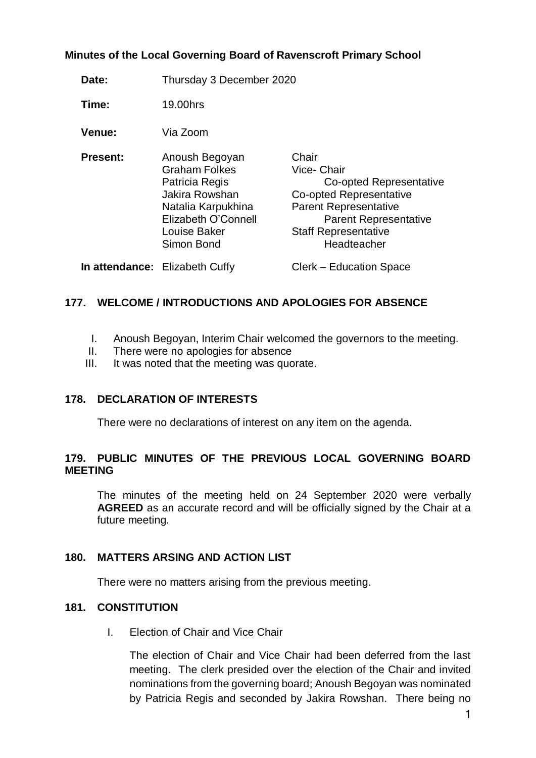### **Minutes of the Local Governing Board of Ravenscroft Primary School**

**Date:** Thursday 3 December 2020

**Time:** 19.00hrs

**Venue:** Via Zoom

| <b>Present:</b> | Anoush Begoyan       | Chair                        |
|-----------------|----------------------|------------------------------|
|                 | <b>Graham Folkes</b> | Vice- Chair                  |
|                 | Patricia Regis       | Co-opted Representative      |
|                 | Jakira Rowshan       | Co-opted Representative      |
|                 | Natalia Karpukhina   | <b>Parent Representative</b> |
|                 | Elizabeth O'Connell  | <b>Parent Representative</b> |
|                 | Louise Baker         | <b>Staff Representative</b>  |
|                 | Simon Bond           | Headteacher                  |
|                 |                      |                              |

**In attendance:** Elizabeth Cuffy Clerk – Education Space

# **177. WELCOME / INTRODUCTIONS AND APOLOGIES FOR ABSENCE**

- I. Anoush Begoyan, Interim Chair welcomed the governors to the meeting.
- II. There were no apologies for absence
- III. It was noted that the meeting was quorate.

#### **178. DECLARATION OF INTERESTS**

There were no declarations of interest on any item on the agenda.

### **179. PUBLIC MINUTES OF THE PREVIOUS LOCAL GOVERNING BOARD MEETING**

The minutes of the meeting held on 24 September 2020 were verbally **AGREED** as an accurate record and will be officially signed by the Chair at a future meeting.

#### **180. MATTERS ARSING AND ACTION LIST**

There were no matters arising from the previous meeting.

### **181. CONSTITUTION**

I. Election of Chair and Vice Chair

The election of Chair and Vice Chair had been deferred from the last meeting. The clerk presided over the election of the Chair and invited nominations from the governing board; Anoush Begoyan was nominated by Patricia Regis and seconded by Jakira Rowshan. There being no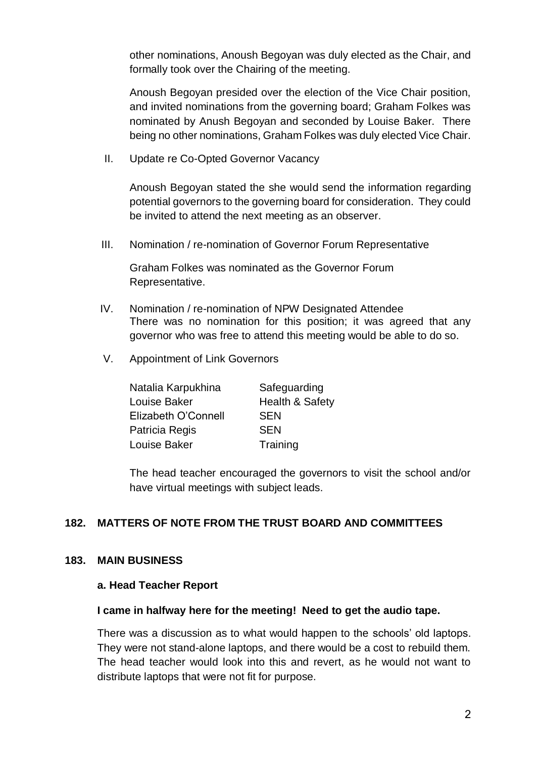other nominations, Anoush Begoyan was duly elected as the Chair, and formally took over the Chairing of the meeting.

Anoush Begoyan presided over the election of the Vice Chair position, and invited nominations from the governing board; Graham Folkes was nominated by Anush Begoyan and seconded by Louise Baker. There being no other nominations, Graham Folkes was duly elected Vice Chair.

II. Update re Co-Opted Governor Vacancy

Anoush Begoyan stated the she would send the information regarding potential governors to the governing board for consideration. They could be invited to attend the next meeting as an observer.

III. Nomination / re-nomination of Governor Forum Representative

Graham Folkes was nominated as the Governor Forum Representative.

- IV. Nomination / re-nomination of NPW Designated Attendee There was no nomination for this position; it was agreed that any governor who was free to attend this meeting would be able to do so.
- V. Appointment of Link Governors

| Natalia Karpukhina  | Safeguarding    |
|---------------------|-----------------|
| Louise Baker        | Health & Safety |
| Elizabeth O'Connell | <b>SEN</b>      |
| Patricia Regis      | <b>SEN</b>      |
| Louise Baker        | Training        |

The head teacher encouraged the governors to visit the school and/or have virtual meetings with subject leads.

## **182. MATTERS OF NOTE FROM THE TRUST BOARD AND COMMITTEES**

# **183. MAIN BUSINESS**

#### **a. Head Teacher Report**

#### **I came in halfway here for the meeting! Need to get the audio tape.**

There was a discussion as to what would happen to the schools' old laptops. They were not stand-alone laptops, and there would be a cost to rebuild them. The head teacher would look into this and revert, as he would not want to distribute laptops that were not fit for purpose.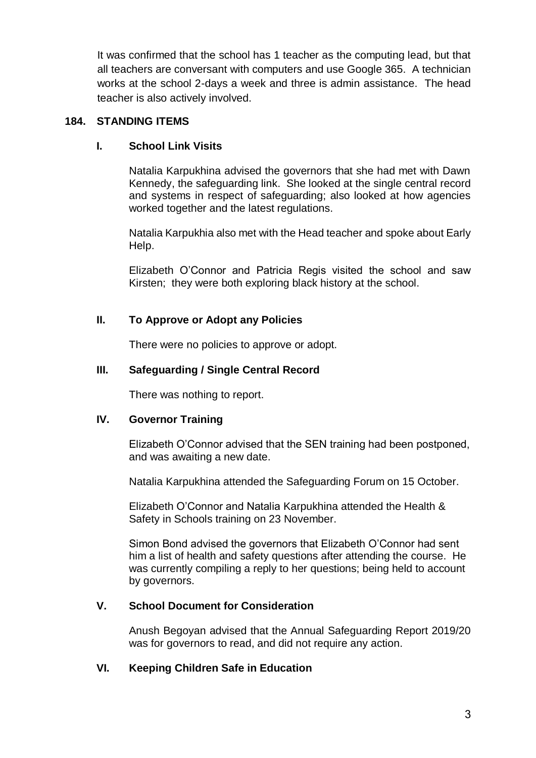It was confirmed that the school has 1 teacher as the computing lead, but that all teachers are conversant with computers and use Google 365. A technician works at the school 2-days a week and three is admin assistance. The head teacher is also actively involved.

### **184. STANDING ITEMS**

## **I. School Link Visits**

Natalia Karpukhina advised the governors that she had met with Dawn Kennedy, the safeguarding link. She looked at the single central record and systems in respect of safeguarding; also looked at how agencies worked together and the latest regulations.

Natalia Karpukhia also met with the Head teacher and spoke about Early Help.

Elizabeth O'Connor and Patricia Regis visited the school and saw Kirsten; they were both exploring black history at the school.

## **II. To Approve or Adopt any Policies**

There were no policies to approve or adopt.

### **III. Safeguarding / Single Central Record**

There was nothing to report.

## **IV. Governor Training**

Elizabeth O'Connor advised that the SEN training had been postponed, and was awaiting a new date.

Natalia Karpukhina attended the Safeguarding Forum on 15 October.

Elizabeth O'Connor and Natalia Karpukhina attended the Health & Safety in Schools training on 23 November.

Simon Bond advised the governors that Elizabeth O'Connor had sent him a list of health and safety questions after attending the course. He was currently compiling a reply to her questions; being held to account by governors.

## **V. School Document for Consideration**

Anush Begoyan advised that the Annual Safeguarding Report 2019/20 was for governors to read, and did not require any action.

## **VI. Keeping Children Safe in Education**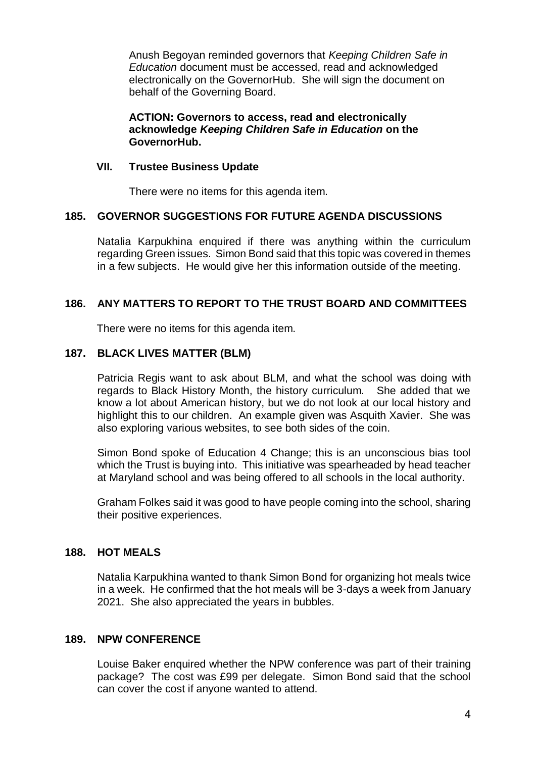Anush Begoyan reminded governors that *Keeping Children Safe in Education* document must be accessed, read and acknowledged electronically on the GovernorHub. She will sign the document on behalf of the Governing Board.

#### **ACTION: Governors to access, read and electronically acknowledge** *Keeping Children Safe in Education* **on the GovernorHub.**

#### **VII. Trustee Business Update**

There were no items for this agenda item.

#### **185. GOVERNOR SUGGESTIONS FOR FUTURE AGENDA DISCUSSIONS**

Natalia Karpukhina enquired if there was anything within the curriculum regarding Green issues. Simon Bond said that this topic was covered in themes in a few subjects. He would give her this information outside of the meeting.

#### **186. ANY MATTERS TO REPORT TO THE TRUST BOARD AND COMMITTEES**

There were no items for this agenda item.

### **187. BLACK LIVES MATTER (BLM)**

Patricia Regis want to ask about BLM, and what the school was doing with regards to Black History Month, the history curriculum. She added that we know a lot about American history, but we do not look at our local history and highlight this to our children. An example given was Asquith Xavier. She was also exploring various websites, to see both sides of the coin.

Simon Bond spoke of Education 4 Change; this is an unconscious bias tool which the Trust is buying into. This initiative was spearheaded by head teacher at Maryland school and was being offered to all schools in the local authority.

Graham Folkes said it was good to have people coming into the school, sharing their positive experiences.

### **188. HOT MEALS**

Natalia Karpukhina wanted to thank Simon Bond for organizing hot meals twice in a week. He confirmed that the hot meals will be 3-days a week from January 2021. She also appreciated the years in bubbles.

#### **189. NPW CONFERENCE**

Louise Baker enquired whether the NPW conference was part of their training package? The cost was £99 per delegate. Simon Bond said that the school can cover the cost if anyone wanted to attend.